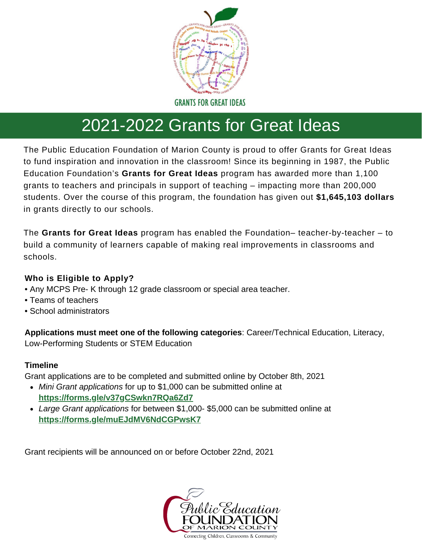

# 2021-2022 Grants for Great Ideas

The Public Education Foundation of Marion County is proud to offer Grants for Great Ideas to fund inspiration and innovation in the classroom! Since its beginning in 1987, the Public Education Foundation's **Grants for Great Ideas** program has awarded more than 1,100 grants to teachers and principals in support of teaching – impacting more than 200,000 students. Over the course of this program, the foundation has given out **\$1,645,103 dollars** in grants directly to our schools.

The **Grants for Great Ideas** program has enabled the Foundation– teacher-by-teacher – to build a community of learners capable of making real improvements in classrooms and schools.

### **Who is Eligible to Apply?**

- Any MCPS Pre- K through 12 grade classroom or special area teacher.
- Teams of teachers
- School administrators

**Applications must meet one of the following categories**: Career/Technical Education, Literacy, Low-Performing Students or STEM Education

### **Timeline**

Grant applications are to be completed and submitted online by October 8th, 2021

- *Mini Grant applications* for up to \$1,000 can be submitted online at **<https://forms.gle/v37gCSwkn7RQa6Zd7>**
- *Large Grant applications* for between \$1,000- \$5,000 can be submitted online at **<https://forms.gle/muEJdMV6NdCGPwsK7>**

Grant recipients will be announced on or before October 22nd, 2021